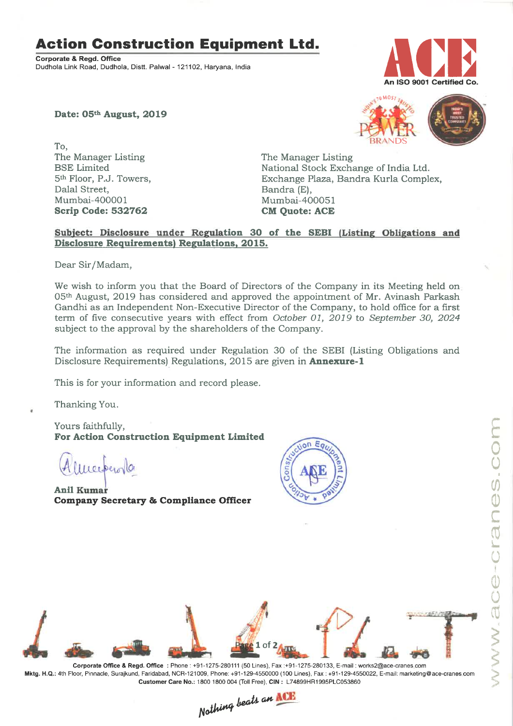## **Action Construction Equipment Ltd.**

Corporate & Regd. Office Dudhola Link Road, Dudhola, Distt. Palwal - 121102, Haryana, India



Date: 05th August, 2019

To, The Manager Listing BSE Limited 5th Floor, P.J. Towers, Dalal Street, Mumbai-400001 Scrip Code: 532762



The Manager Listing National Stock Exchange of India Ltd. Exchange Plaza, Bandra Kurla Complex, Bandra (E), Mumbai-400051 **CM Ouote: ACE** 

## Subject: Disclosure under Regulation 30 of the SEBI (Listing Obligations and Disclosure Requirements) Regulations, 2015.

Dear Sir/Madam,

We wish to inform you that the Board of Directors of the Company in its Meeting held on 05th August, 2019 has considered and approved the appointment of Mr. Avinash Parkash Gandhi as an Independent Non-Executive Director of the Company, to hold office for a first term of five consecutive years with effect from *October 01, 2019* to *September 30, 2024* subject to the approval by the shareholders of the Company.

The information as required under Regulation 30 of the SEBI (Listing Obligations and Disclosure Requirements) Regulations, 2015 are given in Annexure-1

This is for your information and record please.

Thanking You.

Yours faithfully, For Action Construction Equipment Limited

*Inversiono* 

Anil Kumar Company Secretary & Compliance Officer





Corporate Office & Regd. Office: Phone: +91-1275-280111(50 Lines), Fax:+91-1275-280133, E-mail: works2@ace-cranescom Mktg, H,Q.: 4th Floor, Pinnacle, Surajkund, Faridabad, NCR-121009, Phone: +91-129-4550000 (100 Lines), Fax: +91-129-4550022, E-mail: marketing@ace-cranes,com

Customer Care No.: 1800 1800 004 (Toll Free), CIN: L74899HR1995PLC053860<br>Nathing beats an **ACT**